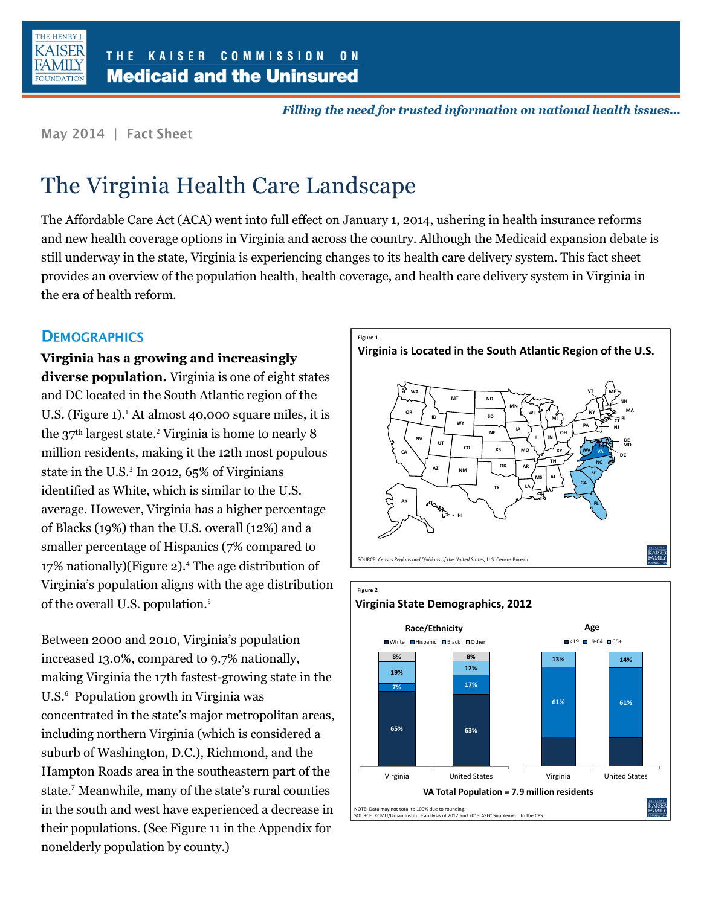

Filling the need for trusted information on national health issues...

May 2014 | Fact Sheet

# The Virginia Health Care Landscape

The Affordable Care Act (ACA) went into full effect on January 1, 2014, ushering in health insurance reforms and new health coverage options in Virginia and across the country. Although the Medicaid expansion debate is still underway in the state, Virginia is experiencing changes to its health care delivery system. This fact sheet provides an overview of the population health, health coverage, and health care delivery system in Virginia in the era of health reform.

## **DEMOGRAPHICS**

**Virginia has a growing and increasingly diverse population.** Virginia is one of eight states and DC located in the South Atlantic region of the U.S. (Figure 1).<sup>1</sup> At almost 40,000 square miles, it is the 37<sup>th</sup> largest state.<sup>2</sup> Virginia is home to nearly 8 million residents, making it the 12th most populous state in the U.S.<sup>3</sup> In 2012, 65% of Virginians identified as White, which is similar to the U.S. average. However, Virginia has a higher percentage of Blacks (19%) than the U.S. overall (12%) and a smaller percentage of Hispanics (7% compared to 17% nationally)(Figure 2).<sup>4</sup> The age distribution of Virginia's population aligns with the age distribution of the overall U.S. population.<sup>5</sup>

Between 2000 and 2010, Virginia's population increased 13.0%, compared to 9.7% nationally, making Virginia the 17th fastest-growing state in the U.S.<sup>6</sup> Population growth in Virginia was concentrated in the state's major metropolitan areas, including northern Virginia (which is considered a suburb of Washington, D.C.), Richmond, and the Hampton Roads area in the southeastern part of the state.<sup>7</sup> Meanwhile, many of the state's rural counties in the south and west have experienced a decrease in their populations. (See Figure 11 in the Appendix for nonelderly population by county.)



**VA Total Population = 7.9 million residents**

**100-250% FPL**

NOTE: Data may not total to 100% due to rounding. SOURCE: KCMU/Urban Institute analysis of 2012 and 2013 ASEC Supplement to the CPS

**25% 25%**

Virginia United States

**65% 63%**

Virginia United States

:AISE<br>AMIL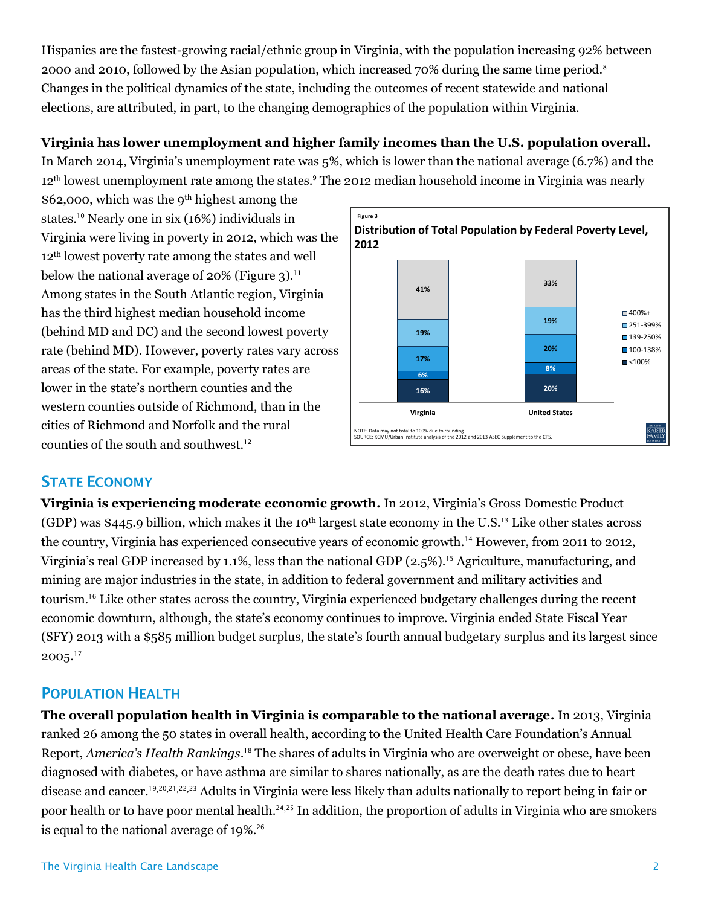Hispanics are the fastest-growing racial/ethnic group in Virginia, with the population increasing 92% between 2000 and 2010, followed by the Asian population, which increased 70% during the same time period.<sup>8</sup> Changes in the political dynamics of the state, including the outcomes of recent statewide and national elections, are attributed, in part, to the changing demographics of the population within Virginia.

# **Virginia has lower unemployment and higher family incomes than the U.S. population overall.**

In March 2014, Virginia's unemployment rate was 5%, which is lower than the national average (6.7%) and the 12<sup>th</sup> lowest unemployment rate among the states.<sup>9</sup> The 2012 median household income in Virginia was nearly

\$62,000, which was the 9th highest among the states.<sup>10</sup> Nearly one in six (16%) individuals in Virginia were living in poverty in 2012, which was the 12th lowest poverty rate among the states and well below the national average of  $20\%$  (Figure 3).<sup>11</sup> Among states in the South Atlantic region, Virginia has the third highest median household income (behind MD and DC) and the second lowest poverty rate (behind MD). However, poverty rates vary across areas of the state. For example, poverty rates are lower in the state's northern counties and the western counties outside of Richmond, than in the cities of Richmond and Norfolk and the rural counties of the south and southwest.<sup>12</sup>



# **STATE ECONOMY**

**Virginia is experiencing moderate economic growth.** In 2012, Virginia's Gross Domestic Product (GDP) was \$445.9 billion, which makes it the 10<sup>th</sup> largest state economy in the U.S.<sup>13</sup> Like other states across the country, Virginia has experienced consecutive years of economic growth.<sup>14</sup> However, from 2011 to 2012, Virginia's real GDP increased by 1.1%, less than the national GDP  $(2.5\%)$ .<sup>15</sup> Agriculture, manufacturing, and mining are major industries in the state, in addition to federal government and military activities and tourism.<sup>16</sup> Like other states across the country, Virginia experienced budgetary challenges during the recent economic downturn, although, the state's economy continues to improve. Virginia ended State Fiscal Year (SFY) 2013 with a \$585 million budget surplus, the state's fourth annual budgetary surplus and its largest since  $2005.<sup>17</sup>$ 

# **POPULATION HEALTH**

**The overall population health in Virginia is comparable to the national average.** In 2013, Virginia ranked 26 among the 50 states in overall health, according to the United Health Care Foundation's Annual Report, *America's Health Rankings*. <sup>18</sup> The shares of adults in Virginia who are overweight or obese, have been diagnosed with diabetes, or have asthma are similar to shares nationally, as are the death rates due to heart disease and cancer.19,20,21,22,<sup>23</sup> Adults in Virginia were less likely than adults nationally to report being in fair or poor health or to have poor mental health.<sup>24,25</sup> In addition, the proportion of adults in Virginia who are smokers is equal to the national average of 19%.<sup>26</sup>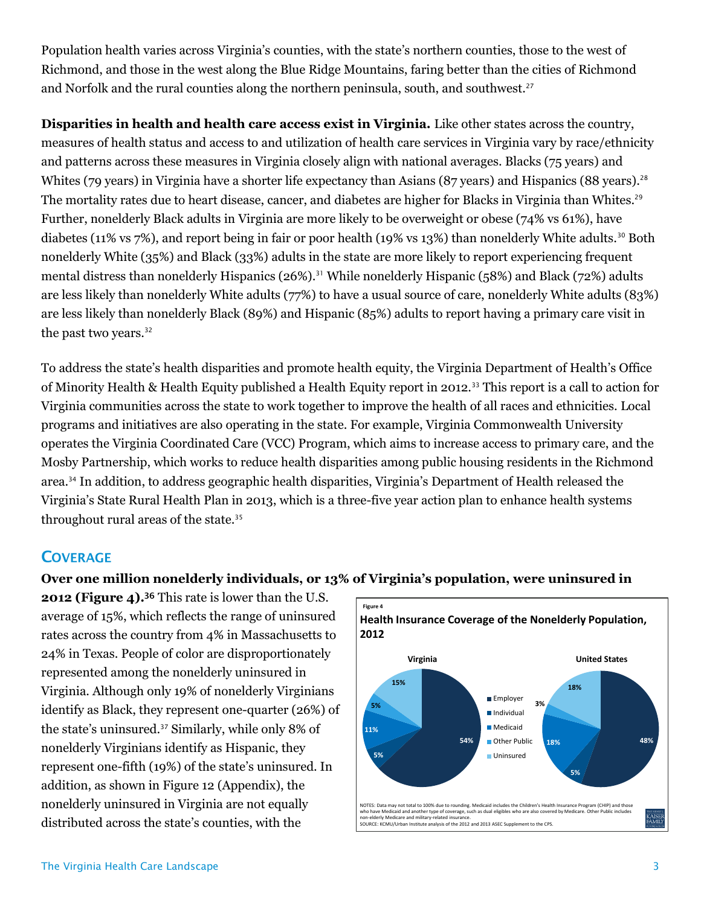Population health varies across Virginia's counties, with the state's northern counties, those to the west of Richmond, and those in the west along the Blue Ridge Mountains, faring better than the cities of Richmond and Norfolk and the rural counties along the northern peninsula, south, and southwest.<sup>27</sup>

**Disparities in health and health care access exist in Virginia.** Like other states across the country, measures of health status and access to and utilization of health care services in Virginia vary by race/ethnicity and patterns across these measures in Virginia closely align with national averages. Blacks (75 years) and Whites (79 years) in Virginia have a shorter life expectancy than Asians (87 years) and Hispanics (88 years).<sup>28</sup> The mortality rates due to heart disease, cancer, and diabetes are higher for Blacks in Virginia than Whites. 29 Further, nonelderly Black adults in Virginia are more likely to be overweight or obese (74% vs 61%), have diabetes (11% vs 7%), and report being in fair or poor health (19% vs 13%) than nonelderly White adults.<sup>30</sup> Both nonelderly White (35%) and Black (33%) adults in the state are more likely to report experiencing frequent mental distress than nonelderly Hispanics (26%).<sup>31</sup> While nonelderly Hispanic (58%) and Black (72%) adults are less likely than nonelderly White adults (77%) to have a usual source of care, nonelderly White adults (83%) are less likely than nonelderly Black (89%) and Hispanic (85%) adults to report having a primary care visit in the past two years.<sup>32</sup>

To address the state's health disparities and promote health equity, the Virginia Department of Health's Office of Minority Health & Health Equity published a Health Equity report in 2012.<sup>33</sup> This report is a call to action for Virginia communities across the state to work together to improve the health of all races and ethnicities. Local programs and initiatives are also operating in the state. For example, Virginia Commonwealth University operates the Virginia Coordinated Care (VCC) Program, which aims to increase access to primary care, and the Mosby Partnership, which works to reduce health disparities among public housing residents in the Richmond area.<sup>34</sup> In addition, to address geographic health disparities, Virginia's Department of Health released the Virginia's State Rural Health Plan in 2013, which is a three-five year action plan to enhance health systems throughout rural areas of the state.<sup>35</sup>

# **COVERAGE**

#### **Over one million nonelderly individuals, or 13% of Virginia's population, were uninsured in**

**2012 (Figure 4).** <sup>36</sup> This rate is lower than the U.S. average of 15%, which reflects the range of uninsured rates across the country from 4% in Massachusetts to 24% in Texas. People of color are disproportionately represented among the nonelderly uninsured in Virginia. Although only 19% of nonelderly Virginians identify as Black, they represent one-quarter (26%) of the state's uninsured.<sup>37</sup> Similarly, while only 8% of nonelderly Virginians identify as Hispanic, they represent one-fifth (19%) of the state's uninsured. In addition, as shown in Figure 12 (Appendix), the nonelderly uninsured in Virginia are not equally Exercise of 15%, which reflects the range of uninsured<br>
rates across the country from 4% in Massachusetts to<br>
24% in Texas. People of color are disproportionately<br>
represented among the nonelderly uninsured in<br>
Virginia. A

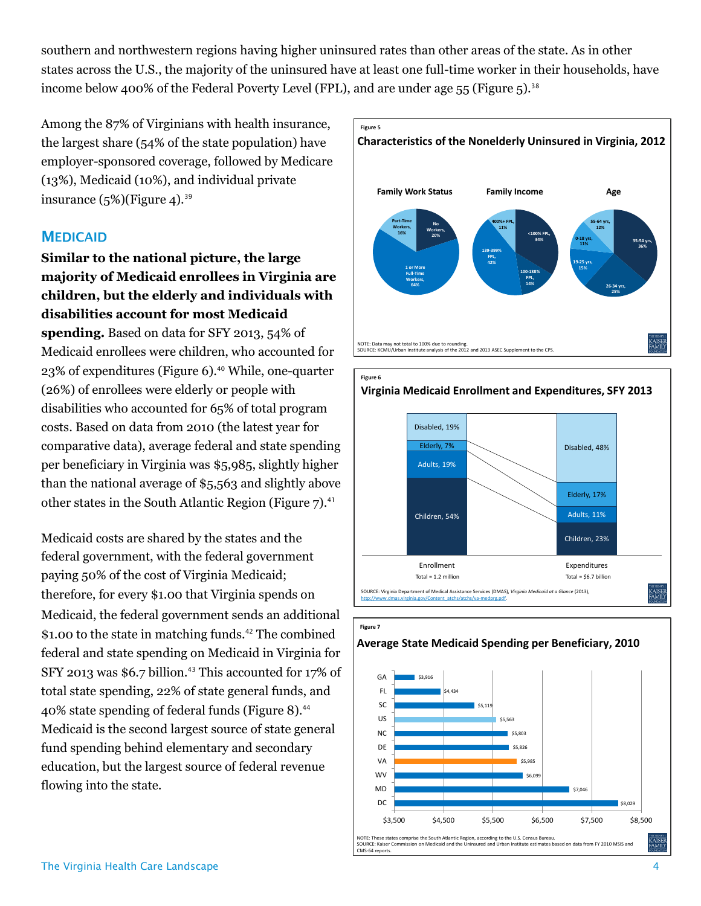southern and northwestern regions having higher uninsured rates than other areas of the state. As in other states across the U.S., the majority of the uninsured have at least one full-time worker in their households, have income below 400% of the Federal Poverty Level (FPL), and are under age 55 (Figure 5).<sup>38</sup>

Among the 87% of Virginians with health insurance, the largest share (54% of the state population) have employer-sponsored coverage, followed by Medicare (13%), Medicaid (10%), and individual private insurance  $(5\%)$ (Figure 4).<sup>39</sup>

# **MEDICAID**

**Similar to the national picture, the large majority of Medicaid enrollees in Virginia are children, but the elderly and individuals with disabilities account for most Medicaid spending.** Based on data for SFY 2013, 54% of Medicaid enrollees were children, who accounted for 23% of expenditures (Figure 6).<sup>40</sup> While, one-quarter (26%) of enrollees were elderly or people with disabilities who accounted for 65% of total program costs. Based on data from 2010 (the latest year for comparative data), average federal and state spending per beneficiary in Virginia was \$5,985, slightly higher than the national average of \$5,563 and slightly above other states in the South Atlantic Region (Figure 7).<sup>41</sup>

Medicaid costs are shared by the states and the federal government, with the federal government paying 50% of the cost of Virginia Medicaid; therefore, for every \$1.00 that Virginia spends on Medicaid, the federal government sends an additional \$1.00 to the state in matching funds.<sup>42</sup> The combined federal and state spending on Medicaid in Virginia for SFY 2013 was \$6.7 billion.<sup>43</sup> This accounted for 17% of total state spending, 22% of state general funds, and 40% state spending of federal funds (Figure 8).<sup>44</sup> Medicaid is the second largest source of state general fund spending behind elementary and secondary education, but the largest source of federal revenue flowing into the state.





**Figure 7**

#### **Average State Medicaid Spending per Beneficiary, 2010**

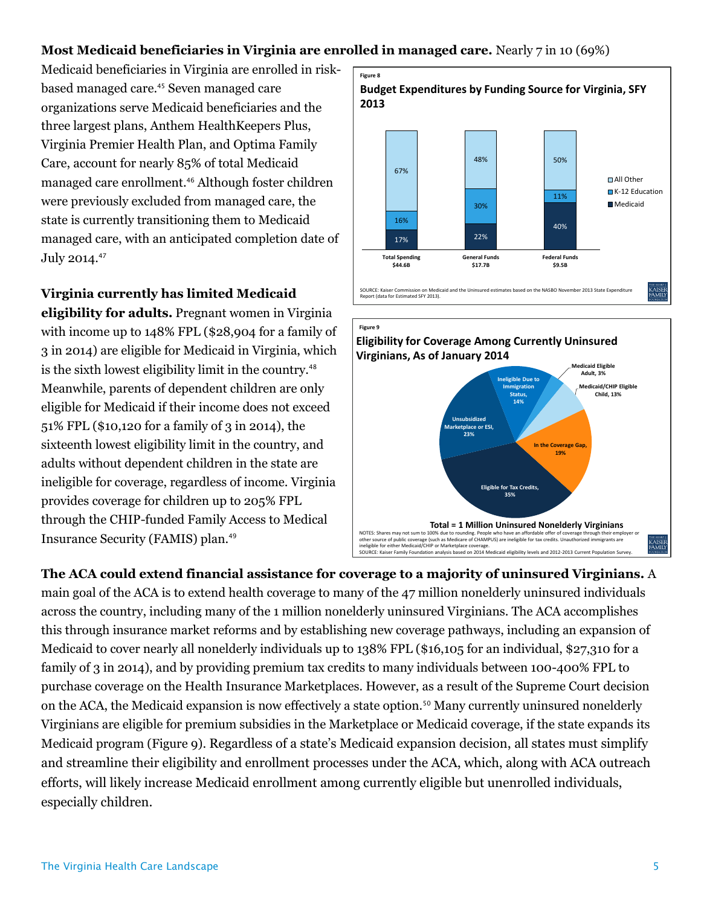## **Most Medicaid beneficiaries in Virginia are enrolled in managed care.** Nearly 7 in 10 (69%)

Medicaid beneficiaries in Virginia are enrolled in riskbased managed care.<sup>45</sup> Seven managed care organizations serve Medicaid beneficiaries and the three largest plans, Anthem HealthKeepers Plus, Virginia Premier Health Plan, and Optima Family Care, account for nearly 85% of total Medicaid managed care enrollment.<sup>46</sup> Although foster children were previously excluded from managed care, the state is currently transitioning them to Medicaid managed care, with an anticipated completion date of July 2014.<sup>47</sup>

**Virginia currently has limited Medicaid eligibility for adults.** Pregnant women in Virginia with income up to 148% FPL (\$28,904 for a family of 3 in 2014) are eligible for Medicaid in Virginia, which is the sixth lowest eligibility limit in the country.<sup>48</sup> Meanwhile, parents of dependent children are only eligible for Medicaid if their income does not exceed 51% FPL (\$10,120 for a family of 3 in 2014), the sixteenth lowest eligibility limit in the country, and adults without dependent children in the state are ineligible for coverage, regardless of income. Virginia provides coverage for children up to 205% FPL through the CHIP-funded Family Access to Medical Insurance Security (FAMIS) plan.<sup>49</sup>





**The ACA could extend financial assistance for coverage to a majority of uninsured Virginians.** A main goal of the ACA is to extend health coverage to many of the 47 million nonelderly uninsured individuals across the country, including many of the 1 million nonelderly uninsured Virginians. The ACA accomplishes this through insurance market reforms and by establishing new coverage pathways, including an expansion of Medicaid to cover nearly all nonelderly individuals up to 138% FPL (\$16,105 for an individual, \$27,310 for a family of 3 in 2014), and by providing premium tax credits to many individuals between 100-400% FPL to purchase coverage on the Health Insurance Marketplaces. However, as a result of the Supreme Court decision on the ACA, the Medicaid expansion is now effectively a state option.<sup>50</sup> Many currently uninsured nonelderly Virginians are eligible for premium subsidies in the Marketplace or Medicaid coverage, if the state expands its Medicaid program (Figure 9). Regardless of a state's Medicaid expansion decision, all states must simplify and streamline their eligibility and enrollment processes under the ACA, which, along with ACA outreach efforts, will likely increase Medicaid enrollment among currently eligible but unenrolled individuals, especially children.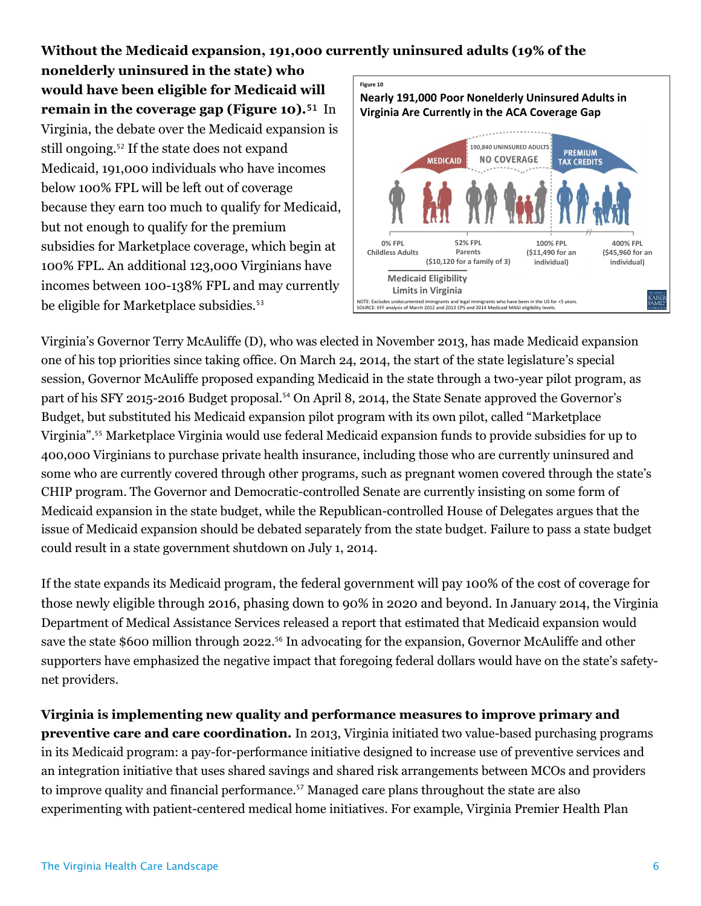**Without the Medicaid expansion, 191,000 currently uninsured adults (19% of the** 

**nonelderly uninsured in the state) who would have been eligible for Medicaid will remain in the coverage gap (Figure 10).**<sup>51</sup> In Virginia, the debate over the Medicaid expansion is still ongoing.<sup>52</sup> If the state does not expand Medicaid, 191,000 individuals who have incomes below 100% FPL will be left out of coverage because they earn too much to qualify for Medicaid, but not enough to qualify for the premium subsidies for Marketplace coverage, which begin at 100% FPL. An additional 123,000 Virginians have incomes between 100-138% FPL and may currently be eligible for Marketplace subsidies.<sup>53</sup>



Virginia's Governor Terry McAuliffe (D), who was elected in November 2013, has made Medicaid expansion one of his top priorities since taking office. On March 24, 2014, the start of the state legislature's special session, Governor McAuliffe proposed expanding Medicaid in the state through a two-year pilot program, as part of his SFY 2015-2016 Budget proposal.<sup>54</sup> On April 8, 2014, the State Senate approved the Governor's Budget, but substituted his Medicaid expansion pilot program with its own pilot, called "Marketplace Virginia".<sup>55</sup> Marketplace Virginia would use federal Medicaid expansion funds to provide subsidies for up to 400,000 Virginians to purchase private health insurance, including those who are currently uninsured and some who are currently covered through other programs, such as pregnant women covered through the state's CHIP program. The Governor and Democratic-controlled Senate are currently insisting on some form of Medicaid expansion in the state budget, while the Republican-controlled House of Delegates argues that the issue of Medicaid expansion should be debated separately from the state budget. Failure to pass a state budget could result in a state government shutdown on July 1, 2014.

If the state expands its Medicaid program, the federal government will pay 100% of the cost of coverage for those newly eligible through 2016, phasing down to 90% in 2020 and beyond. In January 2014, the Virginia Department of Medical Assistance Services released a report that estimated that Medicaid expansion would save the state \$600 million through 2022.<sup>56</sup> In advocating for the expansion, Governor McAuliffe and other supporters have emphasized the negative impact that foregoing federal dollars would have on the state's safetynet providers.

**Virginia is implementing new quality and performance measures to improve primary and preventive care and care coordination.** In 2013, Virginia initiated two value-based purchasing programs in its Medicaid program: a pay-for-performance initiative designed to increase use of preventive services and an integration initiative that uses shared savings and shared risk arrangements between MCOs and providers to improve quality and financial performance.<sup>57</sup> Managed care plans throughout the state are also experimenting with patient-centered medical home initiatives. For example, Virginia Premier Health Plan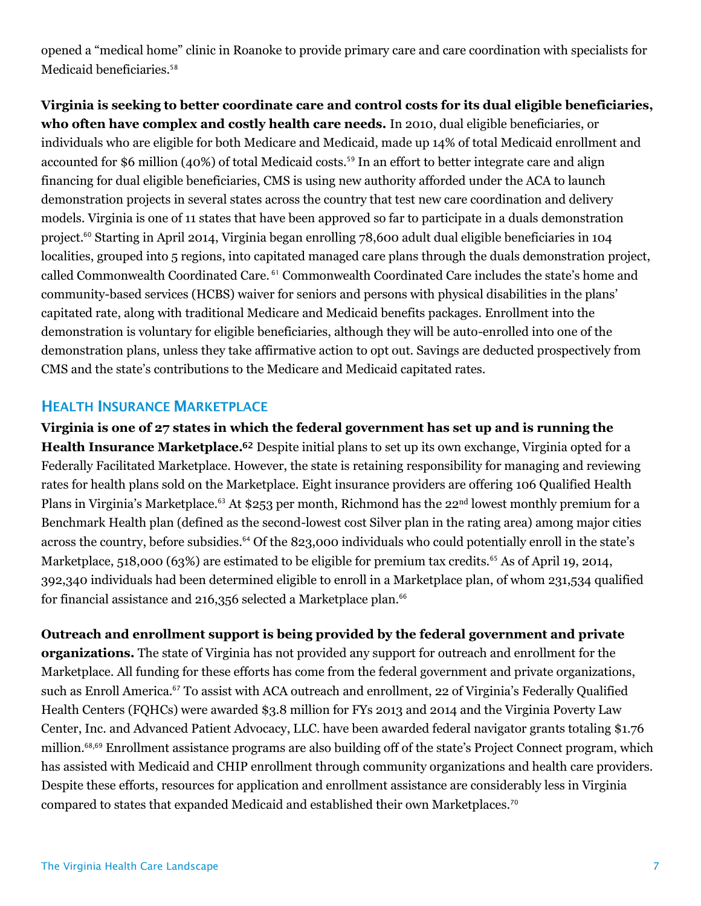opened a "medical home" clinic in Roanoke to provide primary care and care coordination with specialists for Medicaid beneficiaries.<sup>58</sup>

**Virginia is seeking to better coordinate care and control costs for its dual eligible beneficiaries, who often have complex and costly health care needs.** In 2010, dual eligible beneficiaries, or individuals who are eligible for both Medicare and Medicaid, made up 14% of total Medicaid enrollment and accounted for \$6 million (40%) of total Medicaid costs.<sup>59</sup> In an effort to better integrate care and align financing for dual eligible beneficiaries, CMS is using new authority afforded under the ACA to launch demonstration projects in several states across the country that test new care coordination and delivery models. Virginia is one of 11 states that have been approved so far to participate in a duals demonstration project. <sup>60</sup> Starting in April 2014, Virginia began enrolling 78,600 adult dual eligible beneficiaries in 104 localities, grouped into 5 regions, into capitated managed care plans through the duals demonstration project, called Commonwealth Coordinated Care. <sup>61</sup> Commonwealth Coordinated Care includes the state's home and community-based services (HCBS) waiver for seniors and persons with physical disabilities in the plans' capitated rate, along with traditional Medicare and Medicaid benefits packages. Enrollment into the demonstration is voluntary for eligible beneficiaries, although they will be auto-enrolled into one of the demonstration plans, unless they take affirmative action to opt out. Savings are deducted prospectively from CMS and the state's contributions to the Medicare and Medicaid capitated rates.

## **HEALTH INSURANCE MARKETPLACE**

**Virginia is one of 27 states in which the federal government has set up and is running the**  Health Insurance Marketplace.<sup>62</sup> Despite initial plans to set up its own exchange, Virginia opted for a Federally Facilitated Marketplace. However, the state is retaining responsibility for managing and reviewing rates for health plans sold on the Marketplace. Eight insurance providers are offering 106 Qualified Health Plans in Virginia's Marketplace.<sup>63</sup> At \$253 per month, Richmond has the 22<sup>nd</sup> lowest monthly premium for a Benchmark Health plan (defined as the second-lowest cost Silver plan in the rating area) among major cities across the country, before subsidies.<sup>64</sup> Of the 823,000 individuals who could potentially enroll in the state's Marketplace, 518,000 (63%) are estimated to be eligible for premium tax credits.<sup>65</sup> As of April 19, 2014, 392,340 individuals had been determined eligible to enroll in a Marketplace plan, of whom 231,534 qualified for financial assistance and  $216,356$  selected a Marketplace plan.<sup>66</sup>

**Outreach and enrollment support is being provided by the federal government and private organizations.** The state of Virginia has not provided any support for outreach and enrollment for the Marketplace. All funding for these efforts has come from the federal government and private organizations, such as Enroll America.<sup>67</sup> To assist with ACA outreach and enrollment, 22 of Virginia's Federally Qualified Health Centers (FQHCs) were awarded \$3.8 million for FYs 2013 and 2014 and the Virginia Poverty Law Center, Inc. and Advanced Patient Advocacy, LLC. have been awarded federal navigator grants totaling \$1.76 million.68,<sup>69</sup> Enrollment assistance programs are also building off of the state's Project Connect program, which has assisted with Medicaid and CHIP enrollment through community organizations and health care providers. Despite these efforts, resources for application and enrollment assistance are considerably less in Virginia compared to states that expanded Medicaid and established their own Marketplaces.70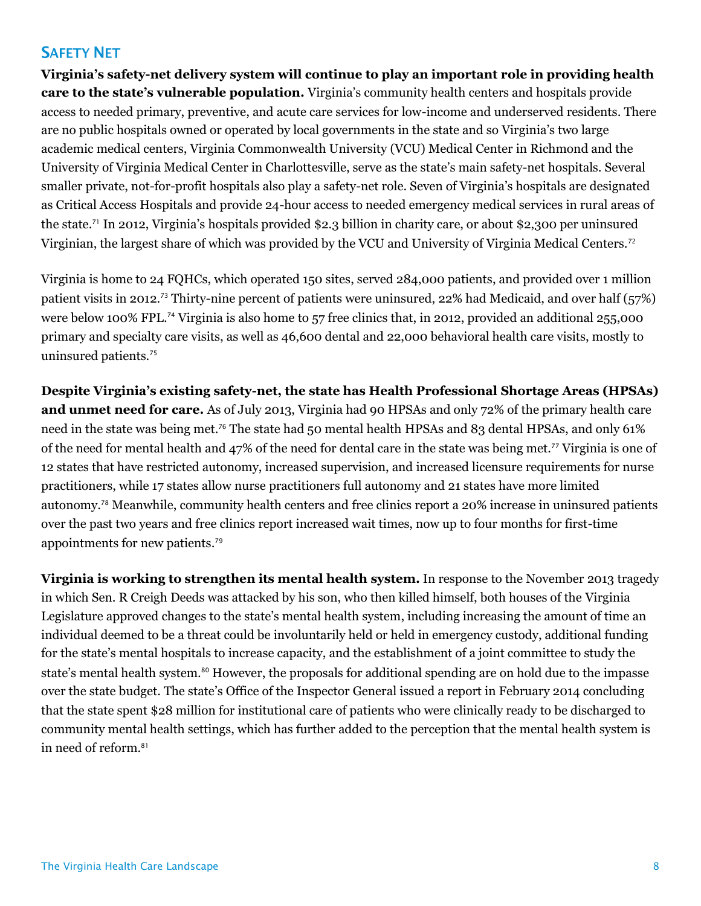# **SAFETY NET**

**Virginia's safety-net delivery system will continue to play an important role in providing health care to the state's vulnerable population.** Virginia's community health centers and hospitals provide access to needed primary, preventive, and acute care services for low-income and underserved residents. There are no public hospitals owned or operated by local governments in the state and so Virginia's two large academic medical centers, Virginia Commonwealth University (VCU) Medical Center in Richmond and the University of Virginia Medical Center in Charlottesville, serve as the state's main safety-net hospitals. Several smaller private, not-for-profit hospitals also play a safety-net role. Seven of Virginia's hospitals are designated as Critical Access Hospitals and provide 24-hour access to needed emergency medical services in rural areas of the state.<sup>71</sup> In 2012, Virginia's hospitals provided \$2.3 billion in charity care, or about \$2,300 per uninsured Virginian, the largest share of which was provided by the VCU and University of Virginia Medical Centers.<sup>72</sup>

Virginia is home to 24 FQHCs, which operated 150 sites, served 284,000 patients, and provided over 1 million patient visits in 2012.<sup>73</sup> Thirty-nine percent of patients were uninsured, 22% had Medicaid, and over half (57%) were below 100% FPL.<sup>74</sup> Virginia is also home to 57 free clinics that, in 2012, provided an additional 255,000 primary and specialty care visits, as well as 46,600 dental and 22,000 behavioral health care visits, mostly to uninsured patients.<sup>75</sup>

**Despite Virginia's existing safety-net, the state has Health Professional Shortage Areas (HPSAs) and unmet need for care.** As of July 2013, Virginia had 90 HPSAs and only 72% of the primary health care need in the state was being met.<sup>76</sup> The state had 50 mental health HPSAs and 83 dental HPSAs, and only 61% of the need for mental health and 47% of the need for dental care in the state was being met.<sup>77</sup> Virginia is one of 12 states that have restricted autonomy, increased supervision, and increased licensure requirements for nurse practitioners, while 17 states allow nurse practitioners full autonomy and 21 states have more limited autonomy.<sup>78</sup> Meanwhile, community health centers and free clinics report a 20% increase in uninsured patients over the past two years and free clinics report increased wait times, now up to four months for first-time appointments for new patients.<sup>79</sup>

**Virginia is working to strengthen its mental health system.** In response to the November 2013 tragedy in which Sen. R Creigh Deeds was attacked by his son, who then killed himself, both houses of the Virginia Legislature approved changes to the state's mental health system, including increasing the amount of time an individual deemed to be a threat could be involuntarily held or held in emergency custody, additional funding for the state's mental hospitals to increase capacity, and the establishment of a joint committee to study the state's mental health system.<sup>80</sup> However, the proposals for additional spending are on hold due to the impasse over the state budget. The state's Office of the Inspector General issued a report in February 2014 concluding that the state spent \$28 million for institutional care of patients who were clinically ready to be discharged to community mental health settings, which has further added to the perception that the mental health system is in need of reform.<sup>81</sup>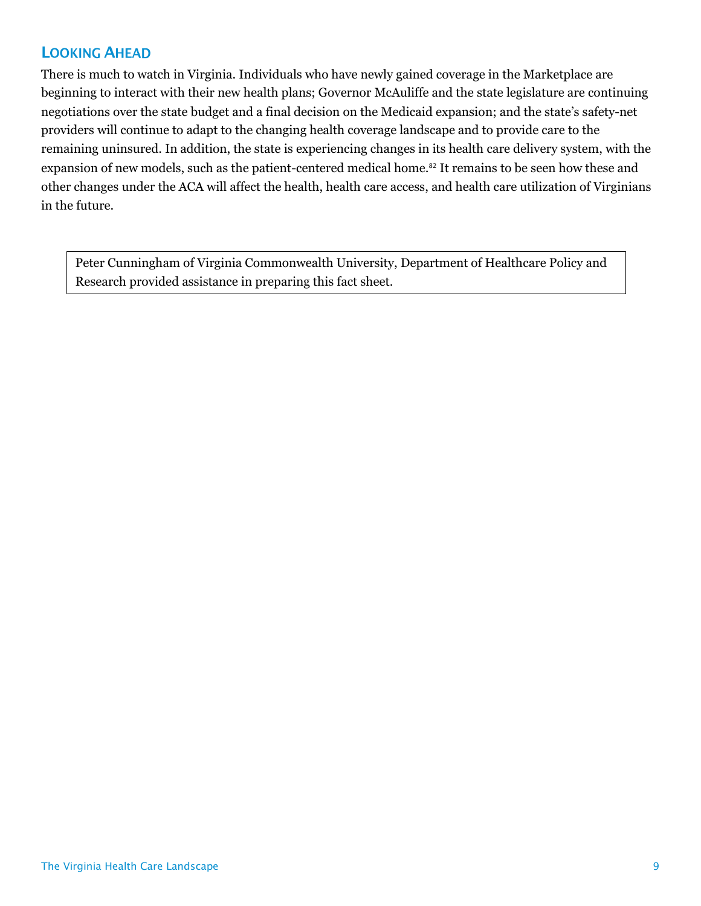# **LOOKING AHEAD**

There is much to watch in Virginia. Individuals who have newly gained coverage in the Marketplace are beginning to interact with their new health plans; Governor McAuliffe and the state legislature are continuing negotiations over the state budget and a final decision on the Medicaid expansion; and the state's safety-net providers will continue to adapt to the changing health coverage landscape and to provide care to the remaining uninsured. In addition, the state is experiencing changes in its health care delivery system, with the expansion of new models, such as the patient-centered medical home.<sup>82</sup> It remains to be seen how these and other changes under the ACA will affect the health, health care access, and health care utilization of Virginians in the future.

Peter Cunningham of Virginia Commonwealth University, Department of Healthcare Policy and Research provided assistance in preparing this fact sheet.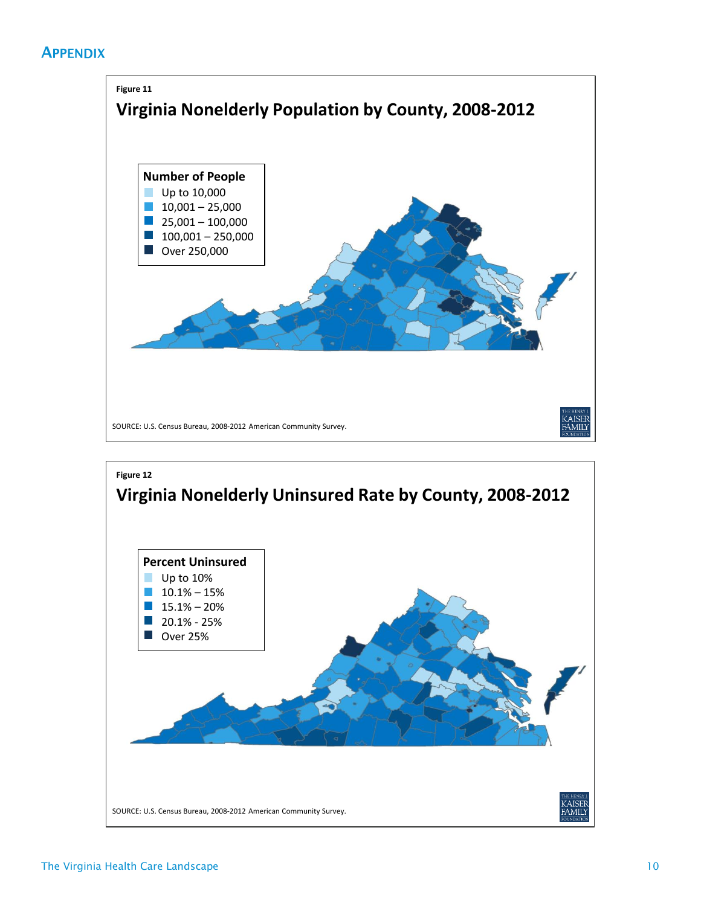# **APPENDIX**



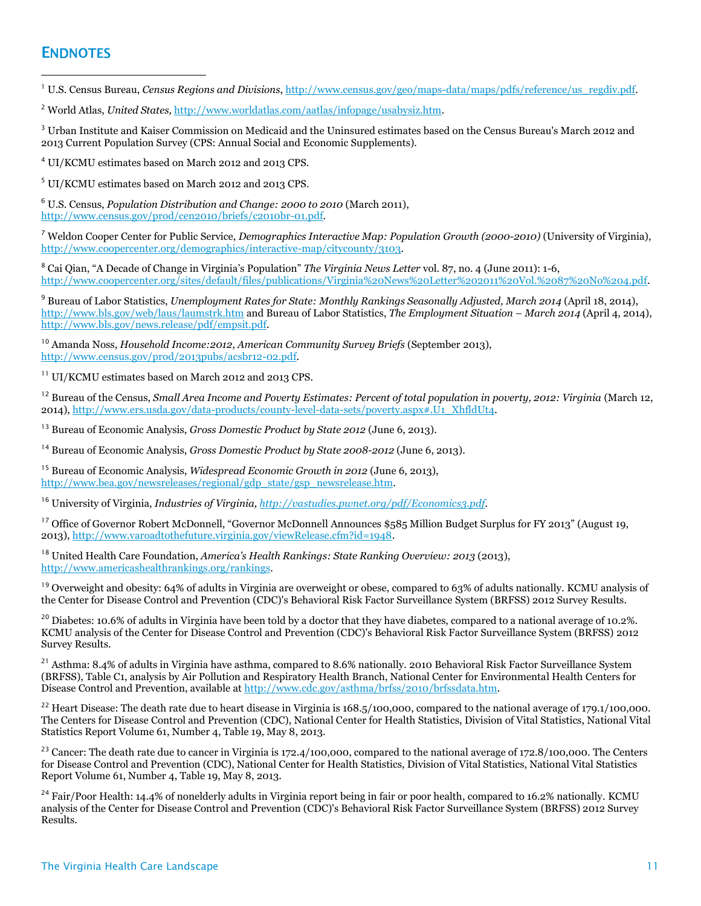## **ENDNOTES**

 $\overline{a}$ 

<sup>1</sup> U.S. Census Bureau, *Census Regions and Divisions*[, http://www.census.gov/geo/maps-data/maps/pdfs/reference/us\\_regdiv.pdf.](http://www.census.gov/geo/maps-data/maps/pdfs/reference/us_regdiv.pdf)

<sup>2</sup> World Atlas, *United States,* [http://www.worldatlas.com/aatlas/infopage/usabysiz.htm.](http://www.worldatlas.com/aatlas/infopage/usabysiz.htm)

<sup>3</sup> Urban Institute and Kaiser Commission on Medicaid and the Uninsured estimates based on the Census Bureau's March 2012 and 2013 Current Population Survey (CPS: Annual Social and Economic Supplements).

<sup>4</sup> UI/KCMU estimates based on March 2012 and 2013 CPS.

<sup>5</sup> UI/KCMU estimates based on March 2012 and 2013 CPS.

<sup>6</sup> U.S. Census, *Population Distribution and Change: 2000 to 2010* (March 2011), [http://www.census.gov/prod/cen2010/briefs/c2010br-01.pdf.](http://www.census.gov/prod/cen2010/briefs/c2010br-01.pdf) 

<sup>7</sup> Weldon Cooper Center for Public Service, *Demographics Interactive Map: Population Growth (2000-2010)* (University of Virginia), [http://www.coopercenter.org/demographics/interactive-map/citycounty/3103.](http://www.coopercenter.org/demographics/interactive-map/citycounty/3103) 

<sup>8</sup> Cai Qian, "A Decade of Change in Virginia's Population" *The Virginia News Letter* vol. 87, no. 4 (June 2011): 1-6, [http://www.coopercenter.org/sites/default/files/publications/Virginia%20News%20Letter%202011%20Vol.%2087%20No%204.pdf.](http://www.coopercenter.org/sites/default/files/publications/Virginia%20News%20Letter%202011%20Vol.%2087%20No%204.pdf) 

<sup>9</sup> Bureau of Labor Statistics, *Unemployment Rates for State: Monthly Rankings Seasonally Adjusted, March 2014* (April 18, 2014), <http://www.bls.gov/web/laus/laumstrk.htm> and Bureau of Labor Statistics, *The Employment Situation – March 2014* (April 4, 2014), [http://www.bls.gov/news.release/pdf/empsit.pdf.](http://www.bls.gov/news.release/pdf/empsit.pdf)

<sup>10</sup> Amanda Noss, *Household Income:2012, American Community Survey Briefs* (September 2013), [http://www.census.gov/prod/2013pubs/acsbr12-02.pdf.](http://www.census.gov/prod/2013pubs/acsbr12-02.pdf)

<sup>11</sup> UI/KCMU estimates based on March 2012 and 2013 CPS.

<sup>12</sup> Bureau of the Census, *Small Area Income and Poverty Estimates: Percent of total population in poverty, 2012: Virginia* (March 12, 2014)[, http://www.ers.usda.gov/data-products/county-level-data-sets/poverty.aspx#.U1\\_XhfldUt4.](http://www.ers.usda.gov/data-products/county-level-data-sets/poverty.aspx#.U1_XhfldUt4)

<sup>13</sup> Bureau of Economic Analysis, *Gross Domestic Product by State 2012* (June 6, 2013).

<sup>14</sup> Bureau of Economic Analysis, *Gross Domestic Product by State 2008-2012* (June 6, 2013).

<sup>15</sup> Bureau of Economic Analysis, *Widespread Economic Growth in 2012* (June 6, 2013), [http://www.bea.gov/newsreleases/regional/gdp\\_state/gsp\\_newsrelease.htm.](http://www.bea.gov/newsreleases/regional/gdp_state/gsp_newsrelease.htm)

<sup>16</sup> University of Virginia, *Industries of Virginia, [http://vastudies.pwnet.org/pdf/Economics3.pdf.](http://vastudies.pwnet.org/pdf/Economics3.pdf)* 

<sup>17</sup> Office of Governor Robert McDonnell, "Governor McDonnell Announces \$585 Million Budget Surplus for FY 2013" (August 19, 2013)[, http://www.varoadtothefuture.virginia.gov/viewRelease.cfm?id=1948.](http://www.varoadtothefuture.virginia.gov/viewRelease.cfm?id=1948) 

<sup>18</sup> United Health Care Foundation, *America's Health Rankings: State Ranking Overview: 2013* (2013), [http://www.americashealthrankings.org/rankings.](http://www.americashealthrankings.org/rankings)

<sup>19</sup> Overweight and obesity: 64% of adults in Virginia are overweight or obese, compared to 63% of adults nationally. KCMU analysis of the Center for Disease Control and Prevention (CDC)'s Behavioral Risk Factor Surveillance System (BRFSS) 2012 Survey Results.

<sup>20</sup> Diabetes: 10.6% of adults in Virginia have been told by a doctor that they have diabetes, compared to a national average of 10.2%. KCMU analysis of the Center for Disease Control and Prevention (CDC)'s Behavioral Risk Factor Surveillance System (BRFSS) 2012 Survey Results.

<sup>21</sup> Asthma: 8.4% of adults in Virginia have asthma, compared to 8.6% nationally. 2010 Behavioral Risk Factor Surveillance System (BRFSS), Table C1, analysis by Air Pollution and Respiratory Health Branch, National Center for Environmental Health Centers for Disease Control and Prevention, available a[t http://www.cdc.gov/asthma/brfss/2010/brfssdata.htm.](http://www.cdc.gov/asthma/brfss/2010/brfssdata.htm)

<sup>22</sup> Heart Disease: The death rate due to heart disease in Virginia is  $168.5/100,000$ , compared to the national average of 179.1/100,000. The Centers for Disease Control and Prevention (CDC), National Center for Health Statistics, Division of Vital Statistics, National Vital Statistics Report Volume 61, Number 4, Table 19, May 8, 2013.

<sup>23</sup> Cancer: The death rate due to cancer in Virginia is 172.4/100,000, compared to the national average of 172.8/100,000. The Centers for Disease Control and Prevention (CDC), National Center for Health Statistics, Division of Vital Statistics, National Vital Statistics Report Volume 61, Number 4, Table 19, May 8, 2013.

 $^{24}$  Fair/Poor Health: 14.4% of nonelderly adults in Virginia report being in fair or poor health, compared to 16.2% nationally. KCMU analysis of the Center for Disease Control and Prevention (CDC)'s Behavioral Risk Factor Surveillance System (BRFSS) 2012 Survey Results.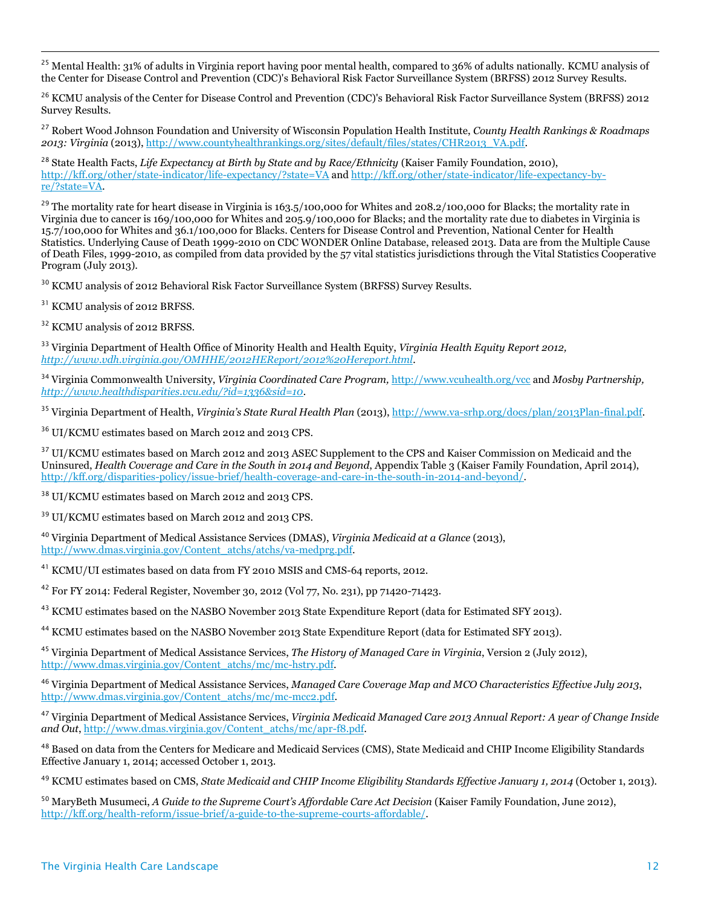<sup>25</sup> Mental Health: 31% of adults in Virginia report having poor mental health, compared to 36% of adults nationally. KCMU analysis of the Center for Disease Control and Prevention (CDC)'s Behavioral Risk Factor Surveillance System (BRFSS) 2012 Survey Results.

<sup>26</sup> KCMU analysis of the Center for Disease Control and Prevention (CDC)'s Behavioral Risk Factor Surveillance System (BRFSS) 2012 Survey Results.

<sup>27</sup> Robert Wood Johnson Foundation and University of Wisconsin Population Health Institute, *County Health Rankings & Roadmaps 2013: Virginia* (2013)[, http://www.countyhealthrankings.org/sites/default/files/states/CHR2013\\_VA.pdf.](http://www.countyhealthrankings.org/sites/default/files/states/CHR2013_VA.pdf) 

<sup>28</sup> State Health Facts, *Life Expectancy at Birth by State and by Race/Ethnicity* (Kaiser Family Foundation, 2010), <http://kff.org/other/state-indicator/life-expectancy/?state=VA> and [http://kff.org/other/state-indicator/life-expectancy-by](http://kff.org/other/state-indicator/life-expectancy-by-re/?state=VA)[re/?state=VA.](http://kff.org/other/state-indicator/life-expectancy-by-re/?state=VA) 

<sup>29</sup> The mortality rate for heart disease in Virginia is 163.5/100,000 for Whites and 208.2/100,000 for Blacks; the mortality rate in Virginia due to cancer is 169/100,000 for Whites and 205.9/100,000 for Blacks; and the mortality rate due to diabetes in Virginia is 15.7/100,000 for Whites and 36.1/100,000 for Blacks. Centers for Disease Control and Prevention, National Center for Health Statistics. Underlying Cause of Death 1999-2010 on CDC WONDER Online Database, released 2013. Data are from the Multiple Cause of Death Files, 1999-2010, as compiled from data provided by the 57 vital statistics jurisdictions through the Vital Statistics Cooperative Program (July 2013).

 $^{30}$  KCMU analysis of 2012 Behavioral Risk Factor Surveillance System (BRFSS) Survey Results.

<sup>31</sup> KCMU analysis of 2012 BRFSS.

 $\overline{a}$ 

<sup>32</sup> KCMU analysis of 2012 BRFSS.

<sup>33</sup> Virginia Department of Health Office of Minority Health and Health Equity, *Virginia Health Equity Report 2012, [http://www.vdh.virginia.gov/OMHHE/2012HEReport/2012%20Hereport.html.](http://www.vdh.virginia.gov/OMHHE/2012HEReport/2012%20Hereport.html)* 

<sup>34</sup> Virginia Commonwealth University, *Virginia Coordinated Care Program,* <http://www.vcuhealth.org/vcc> and *Mosby Partnership, [http://www.healthdisparities.vcu.edu/?id=1336&sid=10.](http://www.healthdisparities.vcu.edu/?id=1336&sid=10)* 

<sup>35</sup> Virginia Department of Health, *Virginia's State Rural Health Plan* (2013)[, http://www.va-srhp.org/docs/plan/2013Plan-final.pdf.](http://www.va-srhp.org/docs/plan/2013Plan-final.pdf)

<sup>36</sup> UI/KCMU estimates based on March 2012 and 2013 CPS.

<sup>37</sup> UI/KCMU estimates based on March 2012 and 2013 ASEC Supplement to the CPS and Kaiser Commission on Medicaid and the Uninsured, *Health Coverage and Care in the South in 2014 and Beyond*, Appendix Table 3 (Kaiser Family Foundation, April 2014), [http://kff.org/disparities-policy/issue-brief/health-coverage-and-care-in-the-south-in-2014-and-beyond/.](http://kff.org/disparities-policy/issue-brief/health-coverage-and-care-in-the-south-in-2014-and-beyond/)

<sup>38</sup> UI/KCMU estimates based on March 2012 and 2013 CPS.

<sup>39</sup> UI/KCMU estimates based on March 2012 and 2013 CPS.

<sup>40</sup> Virginia Department of Medical Assistance Services (DMAS), *Virginia Medicaid at a Glance* (2013), [http://www.dmas.virginia.gov/Content\\_atchs/atchs/va-medprg.pdf.](http://www.dmas.virginia.gov/Content_atchs/atchs/va-medprg.pdf)

<sup>41</sup> KCMU/UI estimates based on data from FY 2010 MSIS and CMS-64 reports, 2012.

<sup>42</sup> For FY 2014: Federal Register, November 30, 2012 (Vol 77, No. 231), pp 71420-71423.

<sup>43</sup> KCMU estimates based on the NASBO November 2013 State Expenditure Report (data for Estimated SFY 2013).

<sup>44</sup> KCMU estimates based on the NASBO November 2013 State Expenditure Report (data for Estimated SFY 2013).

<sup>45</sup> Virginia Department of Medical Assistance Services, *The History of Managed Care in Virginia*, Version 2 (July 2012), [http://www.dmas.virginia.gov/Content\\_atchs/mc/mc-hstry.pdf.](http://www.dmas.virginia.gov/Content_atchs/mc/mc-hstry.pdf) 

<sup>46</sup> Virginia Department of Medical Assistance Services, *Managed Care Coverage Map and MCO Characteristics Effective July 2013*, [http://www.dmas.virginia.gov/Content\\_atchs/mc/mc-mcc2.pdf.](http://www.dmas.virginia.gov/Content_atchs/mc/mc-mcc2.pdf) 

<sup>47</sup> Virginia Department of Medical Assistance Services, *Virginia Medicaid Managed Care 2013 Annual Report: A year of Change Inside and Out*[, http://www.dmas.virginia.gov/Content\\_atchs/mc/apr-f8.pdf.](http://www.dmas.virginia.gov/Content_atchs/mc/apr-f8.pdf)

<sup>48</sup> Based on data from the Centers for Medicare and Medicaid Services (CMS), State Medicaid and CHIP Income Eligibility Standards Effective January 1, 2014; accessed October 1, 2013.

<sup>49</sup> KCMU estimates based on CMS, *State Medicaid and CHIP Income Eligibility Standards Effective January 1, 2014* (October 1, 2013).

<sup>50</sup> MaryBeth Musumeci, *A Guide to the Supreme Court's Affordable Care Act Decision* (Kaiser Family Foundation, June 2012), [http://kff.org/health-reform/issue-brief/a-guide-to-the-supreme-courts-affordable/.](http://kff.org/health-reform/issue-brief/a-guide-to-the-supreme-courts-affordable/)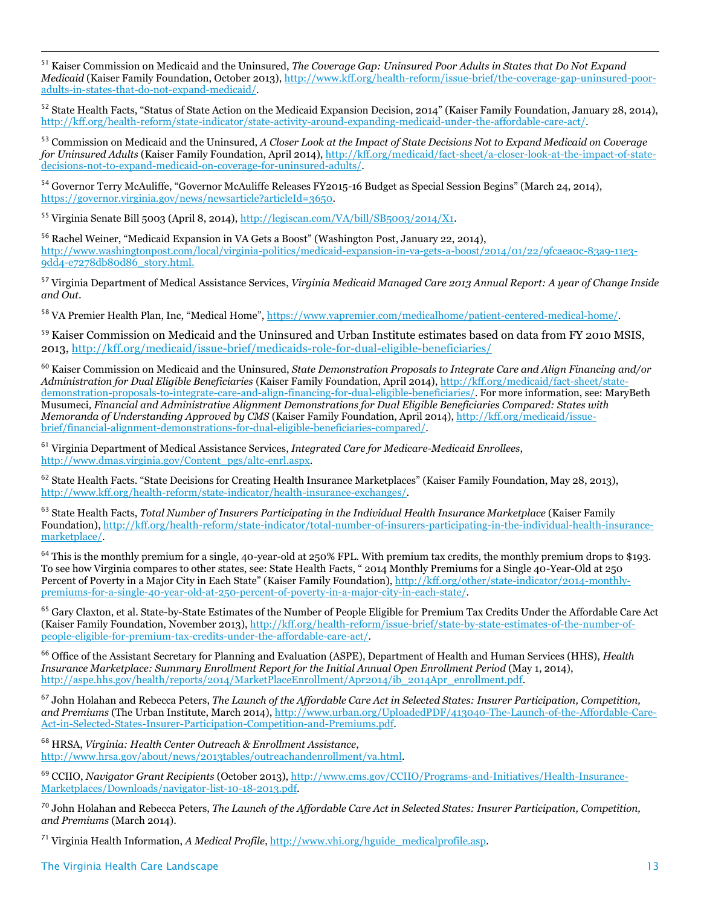<sup>51</sup> Kaiser Commission on Medicaid and the Uninsured, *The Coverage Gap: Uninsured Poor Adults in States that Do Not Expand Medicaid* (Kaiser Family Foundation, October 2013)[, http://www.kff.org/health-reform/issue-brief/the-coverage-gap-uninsured-poor](http://www.kff.org/health-reform/issue-brief/the-coverage-gap-uninsured-poor-adults-in-states-that-do-not-expand-medicaid/)[adults-in-states-that-do-not-expand-medicaid/.](http://www.kff.org/health-reform/issue-brief/the-coverage-gap-uninsured-poor-adults-in-states-that-do-not-expand-medicaid/)

<sup>52</sup> State Health Facts, "Status of State Action on the Medicaid Expansion Decision, 2014" (Kaiser Family Foundation, January 28, 2014), [http://kff.org/health-reform/state-indicator/state-activity-around-expanding-medicaid-under-the-affordable-care-act/.](http://kff.org/health-reform/state-indicator/state-activity-around-expanding-medicaid-under-the-affordable-care-act/)

<sup>53</sup> Commission on Medicaid and the Uninsured, *A Closer Look at the Impact of State Decisions Not to Expand Medicaid on Coverage for Uninsured Adults* (Kaiser Family Foundation, April 2014)[, http://kff.org/medicaid/fact-sheet/a-closer-look-at-the-impact-of-state](http://kff.org/medicaid/fact-sheet/a-closer-look-at-the-impact-of-state-decisions-not-to-expand-medicaid-on-coverage-for-uninsured-adults/)[decisions-not-to-expand-medicaid-on-coverage-for-uninsured-adults/.](http://kff.org/medicaid/fact-sheet/a-closer-look-at-the-impact-of-state-decisions-not-to-expand-medicaid-on-coverage-for-uninsured-adults/)

<sup>54</sup> Governor Terry McAuliffe, "Governor McAuliffe Releases FY2015-16 Budget as Special Session Begins" (March 24, 2014), [https://governor.virginia.gov/news/newsarticle?articleId=3650.](https://governor.virginia.gov/news/newsarticle?articleId=3650)

<sup>55</sup> Virginia Senate Bill 5003 (April 8, 2014), [http://legiscan.com/VA/bill/SB5003/2014/X1.](http://legiscan.com/VA/bill/SB5003/2014/X1)

 $\overline{a}$ 

<sup>56</sup> Rachel Weiner, "Medicaid Expansion in VA Gets a Boost" (Washington Post, January 22, 2014), [http://www.washingtonpost.com/local/virginia-politics/medicaid-expansion-in-va-gets-a-boost/2014/01/22/9fcaea0c-83a9-11e3-](http://www.washingtonpost.com/local/virginia-politics/medicaid-expansion-in-va-gets-a-boost/2014/01/22/9fcaea0c-83a9-11e3-9dd4-e7278db80d86_story.html) [9dd4-e7278db80d86\\_story.html.](http://www.washingtonpost.com/local/virginia-politics/medicaid-expansion-in-va-gets-a-boost/2014/01/22/9fcaea0c-83a9-11e3-9dd4-e7278db80d86_story.html)

<sup>57</sup> Virginia Department of Medical Assistance Services, *Virginia Medicaid Managed Care 2013 Annual Report: A year of Change Inside and Out*.

58 VA Premier Health Plan, Inc, "Medical Home", [https://www.vapremier.com/medicalhome/patient-centered-medical-home/.](https://www.vapremier.com/medicalhome/patient-centered-medical-home/)

<sup>59</sup> Kaiser Commission on Medicaid and the Uninsured and Urban Institute estimates based on data from FY 2010 MSIS, 2013[, http://kff.org/medicaid/issue-brief/medicaids-role-for-dual-eligible-beneficiaries/](http://kff.org/medicaid/issue-brief/medicaids-role-for-dual-eligible-beneficiaries/)

<sup>60</sup> Kaiser Commission on Medicaid and the Uninsured, *State Demonstration Proposals to Integrate Care and Align Financing and/or Administration for Dual Eligible Beneficiaries* (Kaiser Family Foundation, April 2014)[, http://kff.org/medicaid/fact-sheet/state](http://kff.org/medicaid/fact-sheet/state-demonstration-proposals-to-integrate-care-and-align-financing-for-dual-eligible-beneficiaries/)[demonstration-proposals-to-integrate-care-and-align-financing-for-dual-eligible-beneficiaries/.](http://kff.org/medicaid/fact-sheet/state-demonstration-proposals-to-integrate-care-and-align-financing-for-dual-eligible-beneficiaries/) For more information, see: MaryBeth Musumeci*, Financial and Administrative Alignment Demonstrations for Dual Eligible Beneficiaries Compared: States with Memoranda of Understanding Approved by CMS* (Kaiser Family Foundation, April 2014)[, http://kff.org/medicaid/issue](http://kff.org/medicaid/issue-brief/financial-alignment-demonstrations-for-dual-eligible-beneficiaries-compared/)[brief/financial-alignment-demonstrations-for-dual-eligible-beneficiaries-compared/.](http://kff.org/medicaid/issue-brief/financial-alignment-demonstrations-for-dual-eligible-beneficiaries-compared/)

<sup>61</sup> Virginia Department of Medical Assistance Services, *Integrated Care for Medicare-Medicaid Enrollees*, [http://www.dmas.virginia.gov/Content\\_pgs/altc-enrl.aspx.](http://www.dmas.virginia.gov/Content_pgs/altc-enrl.aspx)

<sup>62</sup> State Health Facts. "State Decisions for Creating Health Insurance Marketplaces" (Kaiser Family Foundation, May 28, 2013), [http://www.kff.org/health-reform/state-indicator/health-insurance-exchanges/.](http://www.kff.org/health-reform/state-indicator/health-insurance-exchanges/)

<sup>63</sup> State Health Facts, *Total Number of Insurers Participating in the Individual Health Insurance Marketplace* (Kaiser Family Foundation)[, http://kff.org/health-reform/state-indicator/total-number-of-insurers-participating-in-the-individual-health-insurance](http://kff.org/health-reform/state-indicator/total-number-of-insurers-participating-in-the-individual-health-insurance-marketplace/)[marketplace/.](http://kff.org/health-reform/state-indicator/total-number-of-insurers-participating-in-the-individual-health-insurance-marketplace/) 

<sup>64</sup> This is the monthly premium for a single, 40-year-old at 250% FPL. With premium tax credits, the monthly premium drops to \$193. To see how Virginia compares to other states, see: State Health Facts, " 2014 Monthly Premiums for a Single 40-Year-Old at 250 Percent of Poverty in a Major City in Each State" (Kaiser Family Foundation), [http://kff.org/other/state-indicator/2014-monthly](http://kff.org/other/state-indicator/2014-monthly-premiums-for-a-single-40-year-old-at-250-percent-of-poverty-in-a-major-city-in-each-state/)[premiums-for-a-single-40-year-old-at-250-percent-of-poverty-in-a-major-city-in-each-state/.](http://kff.org/other/state-indicator/2014-monthly-premiums-for-a-single-40-year-old-at-250-percent-of-poverty-in-a-major-city-in-each-state/)

<sup>65</sup> Gary Claxton, et al. State-by-State Estimates of the Number of People Eligible for Premium Tax Credits Under the Affordable Care Act (Kaiser Family Foundation, November 2013)[, http://kff.org/health-reform/issue-brief/state-by-state-estimates-of-the-number-of](http://kff.org/health-reform/issue-brief/state-by-state-estimates-of-the-number-of-people-eligible-for-premium-tax-credits-under-the-affordable-care-act/)[people-eligible-for-premium-tax-credits-under-the-affordable-care-act/.](http://kff.org/health-reform/issue-brief/state-by-state-estimates-of-the-number-of-people-eligible-for-premium-tax-credits-under-the-affordable-care-act/)

<sup>66</sup> Office of the Assistant Secretary for Planning and Evaluation (ASPE), Department of Health and Human Services (HHS), *Health Insurance Marketplace: Summary Enrollment Report for the Initial Annual Open Enrollment Period (May 1, 2014),* [http://aspe.hhs.gov/health/reports/2014/MarketPlaceEnrollment/Apr2014/ib\\_2014Apr\\_enrollment.pdf.](http://aspe.hhs.gov/health/reports/2014/MarketPlaceEnrollment/Apr2014/ib_2014Apr_enrollment.pdf)

<sup>67</sup> John Holahan and Rebecca Peters, *The Launch of the Affordable Care Act in Selected States: Insurer Participation, Competition, and Premiums* (The Urban Institute, March 2014), [http://www.urban.org/UploadedPDF/413040-The-Launch-of-the-Affordable-Care-](http://www.urban.org/UploadedPDF/413040-The-Launch-of-the-Affordable-Care-Act-in-Selected-States-Insurer-Participation-Competition-and-Premiums.pdf)[Act-in-Selected-States-Insurer-Participation-Competition-and-Premiums.pdf.](http://www.urban.org/UploadedPDF/413040-The-Launch-of-the-Affordable-Care-Act-in-Selected-States-Insurer-Participation-Competition-and-Premiums.pdf)

<sup>68</sup> HRSA, *Virginia: Health Center Outreach & Enrollment Assistance*, [http://www.hrsa.gov/about/news/2013tables/outreachandenrollment/va.html.](http://www.hrsa.gov/about/news/2013tables/outreachandenrollment/va.html)

<sup>69</sup> CCIIO, *Navigator Grant Recipients* (October 2013)[, http://www.cms.gov/CCIIO/Programs-and-Initiatives/Health-Insurance-](http://www.cms.gov/CCIIO/Programs-and-Initiatives/Health-Insurance-Marketplaces/Downloads/navigator-list-10-18-2013.pdf)[Marketplaces/Downloads/navigator-list-10-18-2013.pdf.](http://www.cms.gov/CCIIO/Programs-and-Initiatives/Health-Insurance-Marketplaces/Downloads/navigator-list-10-18-2013.pdf) 

<sup>70</sup> John Holahan and Rebecca Peters, *The Launch of the Affordable Care Act in Selected States: Insurer Participation, Competition, and Premiums* (March 2014).

<sup>71</sup> Virginia Health Information, *A Medical Profile*, [http://www.vhi.org/hguide\\_medicalprofile.asp.](http://www.vhi.org/hguide_medicalprofile.asp)